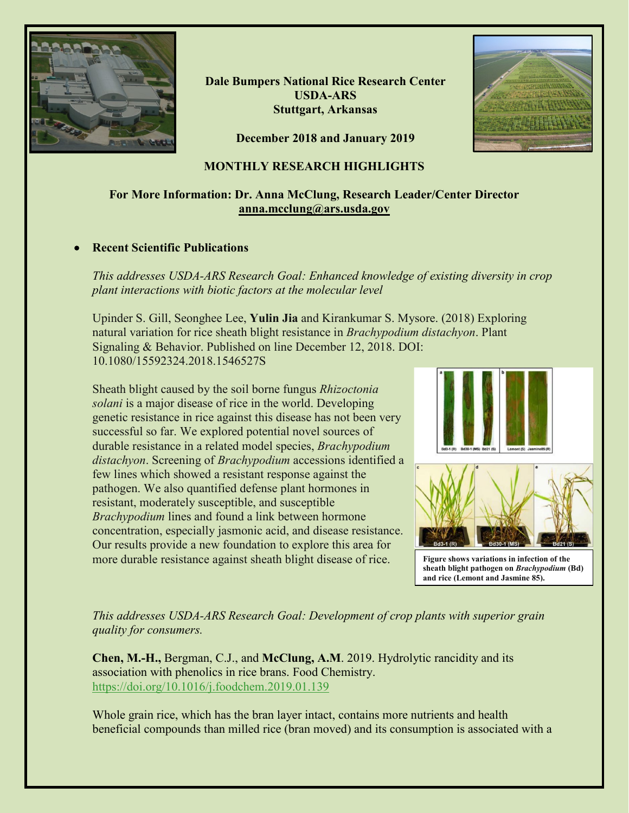

**Dale Bumpers National Rice Research Center USDA-ARS Stuttgart, Arkansas**



**December 2018 and January 2019**

# **MONTHLY RESEARCH HIGHLIGHTS**

# **For More Information: Dr. Anna McClung, Research Leader/Center Director [anna.mcclung@ars.usda.gov](mailto:anna.mcclung@ars.usda.gov)**

# • **Recent Scientific Publications**

*This addresses USDA-ARS Research Goal: Enhanced knowledge of existing diversity in crop plant interactions with biotic factors at the molecular level*

Upinder S. Gill, Seonghee Lee, **Yulin Jia** and Kirankumar S. Mysore. (2018) Exploring natural variation for rice sheath blight resistance in *Brachypodium distachyon*. Plant Signaling & Behavior. Published on line December 12, 2018. DOI: 10.1080/15592324.2018.1546527S

Sheath blight caused by the soil borne fungus *Rhizoctonia solani* is a major disease of rice in the world. Developing genetic resistance in rice against this disease has not been very successful so far. We explored potential novel sources of durable resistance in a related model species, *Brachypodium distachyon*. Screening of *Brachypodium* accessions identified a few lines which showed a resistant response against the pathogen. We also quantified defense plant hormones in resistant, moderately susceptible, and susceptible *Brachypodium* lines and found a link between hormone concentration, especially jasmonic acid, and disease resistance. Our results provide a new foundation to explore this area for more durable resistance against sheath blight disease of rice.



**Figure shows variations in infection of the sheath blight pathogen on** *Brachypodium* **(Bd) and rice (Lemont and Jasmine 85).**

*This addresses USDA-ARS Research Goal: Development of crop plants with superior grain quality for consumers.*

**Chen, M.-H.,** Bergman, C.J., and **McClung, A.M**. 2019. Hydrolytic rancidity and its association with phenolics in rice brans. Food Chemistry. <https://doi.org/10.1016/j.foodchem.2019.01.139>

Whole grain rice, which has the bran layer intact, contains more nutrients and health beneficial compounds than milled rice (bran moved) and its consumption is associated with a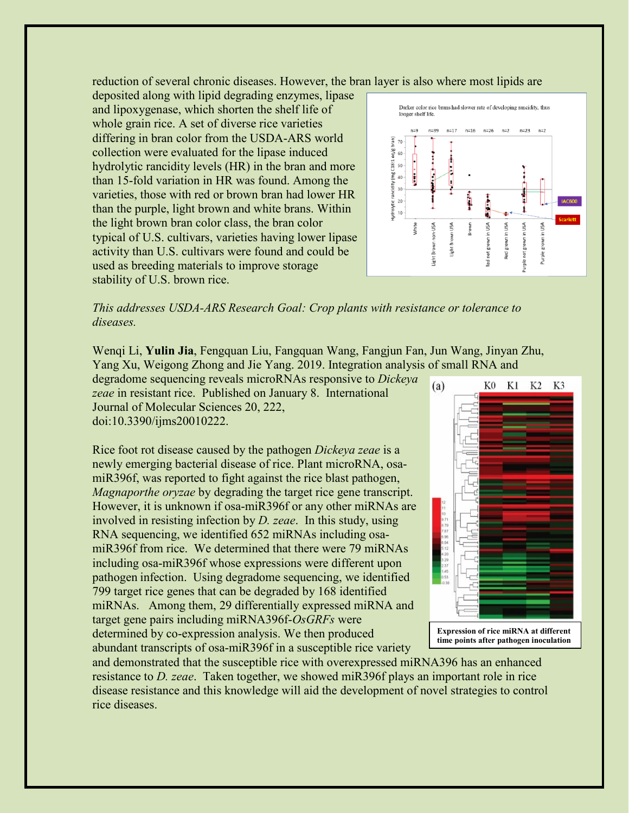reduction of several chronic diseases. However, the bran layer is also where most lipids are

deposited along with lipid degrading enzymes, lipase and lipoxygenase, which shorten the shelf life of whole grain rice. A set of diverse rice varieties differing in bran color from the USDA-ARS world collection were evaluated for the lipase induced hydrolytic rancidity levels (HR) in the bran and more than 15-fold variation in HR was found. Among the varieties, those with red or brown bran had lower HR than the purple, light brown and white brans. Within the light brown bran color class, the bran color typical of U.S. cultivars, varieties having lower lipase activity than U.S. cultivars were found and could be used as breeding materials to improve storage stability of U.S. brown rice.



*This addresses USDA-ARS Research Goal: Crop plants with resistance or tolerance to diseases.*

Wenqi Li, **Yulin Jia**, Fengquan Liu, Fangquan Wang, Fangjun Fan, Jun Wang, Jinyan Zhu, Yang Xu, Weigong Zhong and Jie Yang. 2019. Integration analysis of small RNA and

degradome sequencing reveals microRNAs responsive to *Dickeya zeae* in resistant rice. Published on January 8. International Journal of Molecular Sciences 20, 222, doi:10.3390/ijms20010222.

Rice foot rot disease caused by the pathogen *Dickeya zeae* is a newly emerging bacterial disease of rice. Plant microRNA, osamiR396f, was reported to fight against the rice blast pathogen, *Magnaporthe oryzae* by degrading the target rice gene transcript. However, it is unknown if osa-miR396f or any other miRNAs are involved in resisting infection by *D. zeae*. In this study, using RNA sequencing, we identified 652 miRNAs including osamiR396f from rice. We determined that there were 79 miRNAs including osa-miR396f whose expressions were different upon pathogen infection. Using degradome sequencing, we identified 799 target rice genes that can be degraded by 168 identified miRNAs. Among them, 29 differentially expressed miRNA and target gene pairs including miRNA396f-*OsGRFs* were determined by co-expression analysis. We then produced abundant transcripts of osa-miR396f in a susceptible rice variety



**Expression of rice miRNA at different time points after pathogen inoculation**

and demonstrated that the susceptible rice with overexpressed miRNA396 has an enhanced resistance to *D. zeae*. Taken together, we showed miR396f plays an important role in rice disease resistance and this knowledge will aid the development of novel strategies to control rice diseases.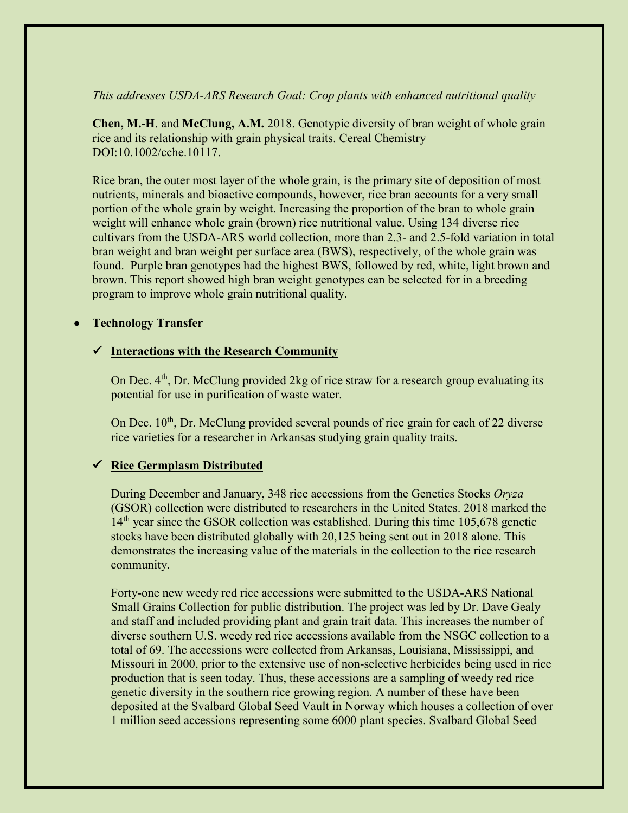### *This addresses USDA-ARS Research Goal: Crop plants with enhanced nutritional quality*

**Chen, M.-H**. and **McClung, A.M.** 2018. Genotypic diversity of bran weight of whole grain rice and its relationship with grain physical traits. Cereal Chemistry DOI:10.1002/cche.10117.

Rice bran, the outer most layer of the whole grain, is the primary site of deposition of most nutrients, minerals and bioactive compounds, however, rice bran accounts for a very small portion of the whole grain by weight. Increasing the proportion of the bran to whole grain weight will enhance whole grain (brown) rice nutritional value. Using 134 diverse rice cultivars from the USDA-ARS world collection, more than 2.3- and 2.5-fold variation in total bran weight and bran weight per surface area (BWS), respectively, of the whole grain was found. Purple bran genotypes had the highest BWS, followed by red, white, light brown and brown. This report showed high bran weight genotypes can be selected for in a breeding program to improve whole grain nutritional quality.

#### • **Technology Transfer**

## **Interactions with the Research Community**

On Dec. 4<sup>th</sup>, Dr. McClung provided 2kg of rice straw for a research group evaluating its potential for use in purification of waste water.

On Dec.  $10<sup>th</sup>$ , Dr. McClung provided several pounds of rice grain for each of 22 diverse rice varieties for a researcher in Arkansas studying grain quality traits.

## **Rice Germplasm Distributed**

During December and January, 348 rice accessions from the Genetics Stocks *Oryza*  (GSOR) collection were distributed to researchers in the United States. 2018 marked the  $14<sup>th</sup>$  year since the GSOR collection was established. During this time 105,678 genetic stocks have been distributed globally with 20,125 being sent out in 2018 alone. This demonstrates the increasing value of the materials in the collection to the rice research community.

Forty-one new weedy red rice accessions were submitted to the USDA-ARS National Small Grains Collection for public distribution. The project was led by Dr. Dave Gealy and staff and included providing plant and grain trait data. This increases the number of diverse southern U.S. weedy red rice accessions available from the NSGC collection to a total of 69. The accessions were collected from Arkansas, Louisiana, Mississippi, and Missouri in 2000, prior to the extensive use of non-selective herbicides being used in rice production that is seen today. Thus, these accessions are a sampling of weedy red rice genetic diversity in the southern rice growing region. A number of these have been deposited at the Svalbard Global Seed Vault in Norway which houses a collection of over 1 million seed accessions representing some 6000 plant species. Svalbard Global Seed